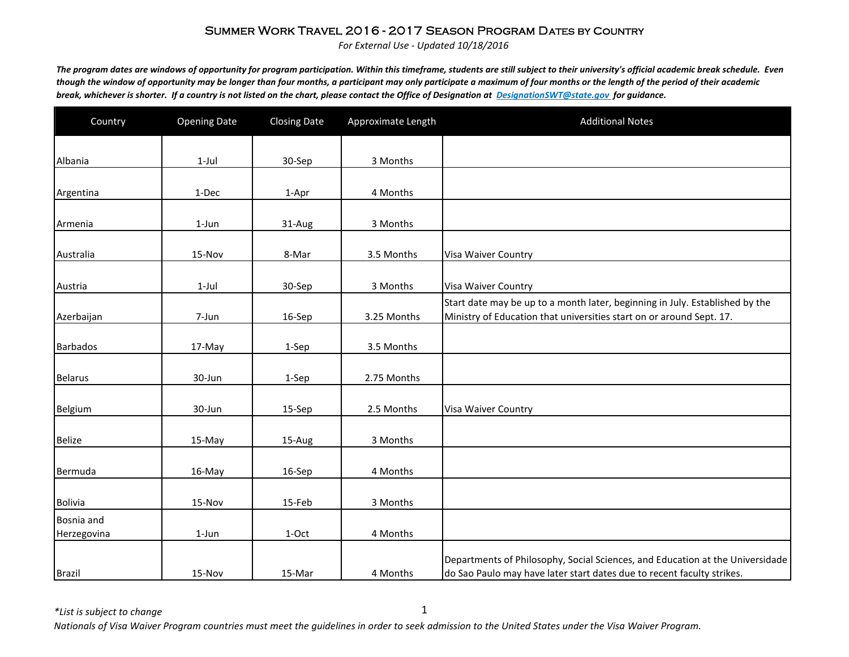*For External Use - Updated 10/18/2016*

*The program dates are windows of opportunity for program participation. Within this timeframe, students are still subject to their university's official academic break schedule. Even though the window of opportunity may be longer than four months, a participant may only participate a maximum of four months or the length of the period of their academic break, whichever is shorter. If a country is not listed on the chart, please contact the Office of Designation at DesignationSWT@state.gov for guidance.*

| Country                   | <b>Opening Date</b> | <b>Closing Date</b> | Approximate Length | <b>Additional Notes</b>                                                                                                                                 |
|---------------------------|---------------------|---------------------|--------------------|---------------------------------------------------------------------------------------------------------------------------------------------------------|
| Albania                   | $1-Jul$             | 30-Sep              | 3 Months           |                                                                                                                                                         |
|                           |                     |                     |                    |                                                                                                                                                         |
| Argentina                 | 1-Dec               | 1-Apr               | 4 Months           |                                                                                                                                                         |
| Armenia                   | $1$ -Jun            | 31-Aug              | 3 Months           |                                                                                                                                                         |
| Australia                 | 15-Nov              | 8-Mar               | 3.5 Months         | Visa Waiver Country                                                                                                                                     |
| Austria                   | $1$ -Jul            | 30-Sep              | 3 Months           | <b>Visa Waiver Country</b>                                                                                                                              |
| Azerbaijan                | 7-Jun               | 16-Sep              | 3.25 Months        | Start date may be up to a month later, beginning in July. Established by the<br>Ministry of Education that universities start on or around Sept. 17.    |
| <b>Barbados</b>           | 17-May              | 1-Sep               | 3.5 Months         |                                                                                                                                                         |
| <b>Belarus</b>            | 30-Jun              | 1-Sep               | 2.75 Months        |                                                                                                                                                         |
| Belgium                   | 30-Jun              | 15-Sep              | 2.5 Months         | Visa Waiver Country                                                                                                                                     |
| <b>Belize</b>             | 15-May              | 15-Aug              | 3 Months           |                                                                                                                                                         |
| Bermuda                   | 16-May              | 16-Sep              | 4 Months           |                                                                                                                                                         |
| <b>Bolivia</b>            | 15-Nov              | 15-Feb              | 3 Months           |                                                                                                                                                         |
| Bosnia and<br>Herzegovina | 1-Jun               | 1-Oct               | 4 Months           |                                                                                                                                                         |
| <b>Brazil</b>             | 15-Nov              | 15-Mar              | 4 Months           | Departments of Philosophy, Social Sciences, and Education at the Universidade<br>do Sao Paulo may have later start dates due to recent faculty strikes. |

*\*List is subject to change*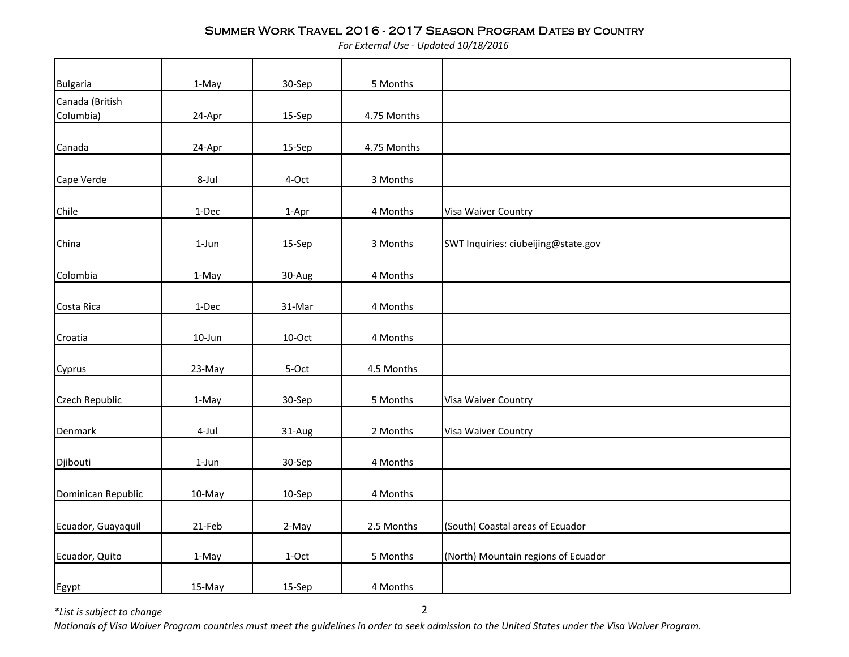*For External Use - Updated 10/18/2016*

| <b>Bulgaria</b>       | 1-May     | 30-Sep    | 5 Months    |                                     |
|-----------------------|-----------|-----------|-------------|-------------------------------------|
| Canada (British       |           |           |             |                                     |
| Columbia)             | 24-Apr    | 15-Sep    | 4.75 Months |                                     |
|                       |           |           |             |                                     |
| Canada                | 24-Apr    | 15-Sep    | 4.75 Months |                                     |
|                       |           |           |             |                                     |
| Cape Verde            | 8-Jul     | 4-Oct     | 3 Months    |                                     |
| Chile                 | $1-Dec$   | 1-Apr     | 4 Months    | Visa Waiver Country                 |
|                       |           |           |             |                                     |
| China                 | $1$ -Jun  | 15-Sep    | 3 Months    | SWT Inquiries: ciubeijing@state.gov |
|                       |           |           |             |                                     |
| Colombia              | 1-May     | 30-Aug    | 4 Months    |                                     |
|                       |           |           |             |                                     |
| Costa Rica            | $1-Dec$   | 31-Mar    | 4 Months    |                                     |
| Croatia               | $10$ -Jun | $10$ -Oct | 4 Months    |                                     |
|                       |           |           |             |                                     |
| Cyprus                | 23-May    | 5-Oct     | 4.5 Months  |                                     |
| <b>Czech Republic</b> | 1-May     | 30-Sep    | 5 Months    | Visa Waiver Country                 |
|                       | 4-Jul     |           | 2 Months    | Visa Waiver Country                 |
| Denmark               |           | 31-Aug    |             |                                     |
| Djibouti              | $1$ -Jun  | 30-Sep    | 4 Months    |                                     |
|                       |           |           |             |                                     |
| Dominican Republic    | 10-May    | 10-Sep    | 4 Months    |                                     |
|                       |           |           |             |                                     |
| Ecuador, Guayaquil    | 21-Feb    | 2-May     | 2.5 Months  | (South) Coastal areas of Ecuador    |
| Ecuador, Quito        | 1-May     | 1-Oct     | 5 Months    | (North) Mountain regions of Ecuador |
|                       |           |           |             |                                     |
| Egypt                 | 15-May    | 15-Sep    | 4 Months    |                                     |

*\*List is subject to change*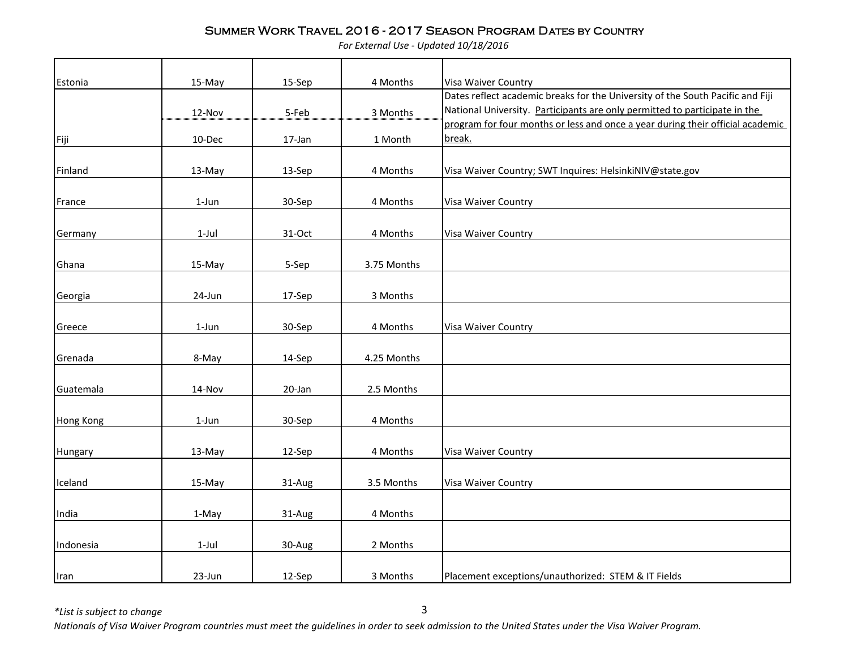*For External Use - Updated 10/18/2016*

| Estonia          | 15-May   | 15-Sep | 4 Months    | Visa Waiver Country                                                                      |
|------------------|----------|--------|-------------|------------------------------------------------------------------------------------------|
|                  |          |        |             | Dates reflect academic breaks for the University of the South Pacific and Fiji           |
|                  | 12-Nov   | 5-Feb  | 3 Months    | National University. Participants are only permitted to participate in the               |
|                  |          |        |             | program for four months or less and once a year during their official academic<br>break. |
| Fiji             | 10-Dec   | 17-Jan | 1 Month     |                                                                                          |
|                  |          |        |             |                                                                                          |
| Finland          | 13-May   | 13-Sep | 4 Months    | Visa Waiver Country; SWT Inquires: HelsinkiNIV@state.gov                                 |
|                  |          |        |             |                                                                                          |
| France           | $1$ -Jun | 30-Sep | 4 Months    | Visa Waiver Country                                                                      |
|                  |          |        |             |                                                                                          |
| Germany          | $1$ -Jul | 31-Oct | 4 Months    | Visa Waiver Country                                                                      |
|                  |          |        |             |                                                                                          |
| Ghana            | 15-May   | 5-Sep  | 3.75 Months |                                                                                          |
|                  |          |        |             |                                                                                          |
| Georgia          | 24-Jun   | 17-Sep | 3 Months    |                                                                                          |
|                  |          |        |             |                                                                                          |
| Greece           | $1$ -Jun | 30-Sep | 4 Months    | Visa Waiver Country                                                                      |
|                  |          |        |             |                                                                                          |
| Grenada          | 8-May    | 14-Sep | 4.25 Months |                                                                                          |
|                  |          |        |             |                                                                                          |
| Guatemala        | 14-Nov   | 20-Jan | 2.5 Months  |                                                                                          |
|                  |          |        |             |                                                                                          |
| <b>Hong Kong</b> | 1-Jun    | 30-Sep | 4 Months    |                                                                                          |
|                  |          |        |             |                                                                                          |
| Hungary          | 13-May   | 12-Sep | 4 Months    | Visa Waiver Country                                                                      |
|                  |          |        |             |                                                                                          |
| Iceland          | 15-May   | 31-Aug | 3.5 Months  | Visa Waiver Country                                                                      |
|                  |          |        |             |                                                                                          |
| India            | 1-May    | 31-Aug | 4 Months    |                                                                                          |
|                  |          |        |             |                                                                                          |
| Indonesia        | $1-Jul$  | 30-Aug | 2 Months    |                                                                                          |
|                  |          |        |             |                                                                                          |
| Iran             | 23-Jun   | 12-Sep | 3 Months    | Placement exceptions/unauthorized: STEM & IT Fields                                      |

*\*List is subject to change*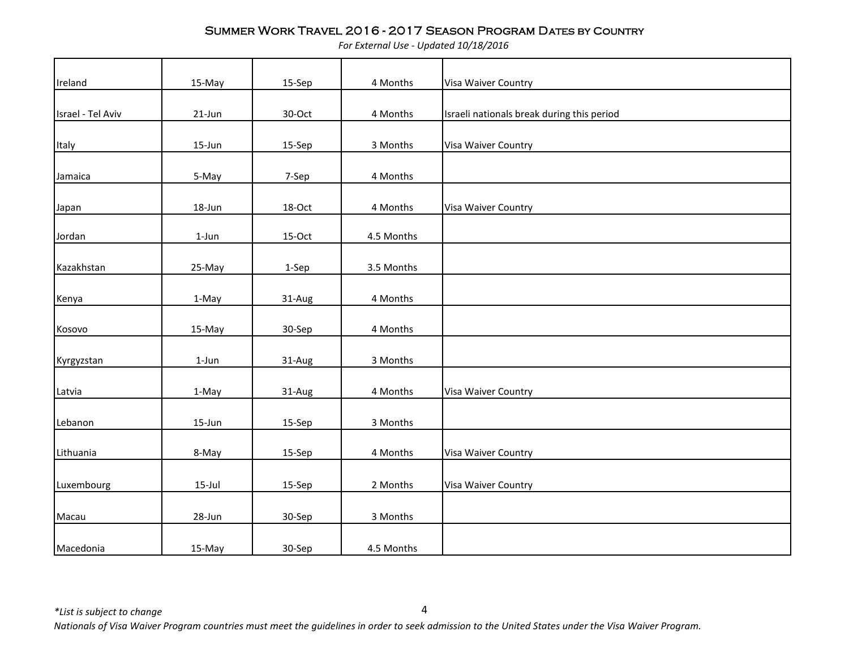*For External Use - Updated 10/18/2016*

| Ireland           | 15-May    | 15-Sep | 4 Months   | Visa Waiver Country                        |
|-------------------|-----------|--------|------------|--------------------------------------------|
|                   |           |        |            |                                            |
| Israel - Tel Aviv | 21-Jun    | 30-Oct | 4 Months   | Israeli nationals break during this period |
|                   |           |        |            |                                            |
| Italy             | 15-Jun    | 15-Sep | 3 Months   | Visa Waiver Country                        |
|                   |           |        |            |                                            |
| Jamaica           | 5-May     | 7-Sep  | 4 Months   |                                            |
| Japan             | 18-Jun    | 18-Oct | 4 Months   | Visa Waiver Country                        |
|                   |           |        |            |                                            |
| Jordan            | $1$ -Jun  | 15-Oct | 4.5 Months |                                            |
|                   |           |        |            |                                            |
| Kazakhstan        | 25-May    | 1-Sep  | 3.5 Months |                                            |
|                   |           |        |            |                                            |
| Kenya             | 1-May     | 31-Aug | 4 Months   |                                            |
| Kosovo            | 15-May    | 30-Sep | 4 Months   |                                            |
|                   |           |        |            |                                            |
| Kyrgyzstan        | $1$ -Jun  | 31-Aug | 3 Months   |                                            |
|                   |           |        |            |                                            |
| Latvia            | 1-May     | 31-Aug | 4 Months   | Visa Waiver Country                        |
| Lebanon           | 15-Jun    | 15-Sep | 3 Months   |                                            |
|                   |           |        |            |                                            |
| Lithuania         | 8-May     | 15-Sep | 4 Months   | Visa Waiver Country                        |
|                   |           |        |            |                                            |
| Luxembourg        | $15$ -Jul | 15-Sep | 2 Months   | Visa Waiver Country                        |
|                   |           |        |            |                                            |
| Macau             | 28-Jun    | 30-Sep | 3 Months   |                                            |
|                   |           |        |            |                                            |
| Macedonia         | 15-May    | 30-Sep | 4.5 Months |                                            |

*\*List is subject to change*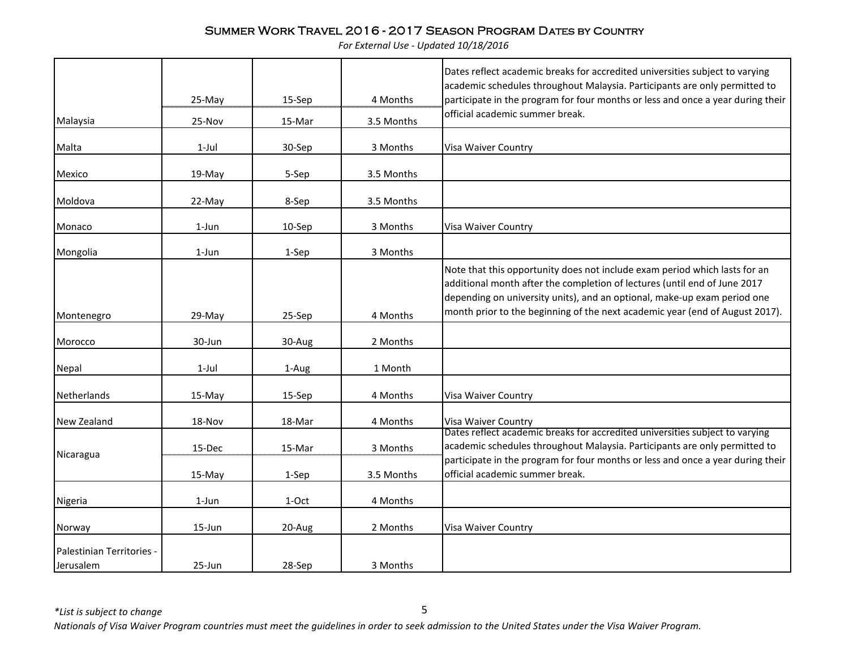*For External Use - Updated 10/18/2016*

|                                        | 25-May     | 15-Sep | 4 Months   | Dates reflect academic breaks for accredited universities subject to varying<br>academic schedules throughout Malaysia. Participants are only permitted to<br>participate in the program for four months or less and once a year during their                                                                       |
|----------------------------------------|------------|--------|------------|---------------------------------------------------------------------------------------------------------------------------------------------------------------------------------------------------------------------------------------------------------------------------------------------------------------------|
| Malaysia                               | 25-Nov     | 15-Mar | 3.5 Months | official academic summer break.                                                                                                                                                                                                                                                                                     |
| Malta                                  | $1$ -Jul   | 30-Sep | 3 Months   | Visa Waiver Country                                                                                                                                                                                                                                                                                                 |
| Mexico                                 | 19-May     | 5-Sep  | 3.5 Months |                                                                                                                                                                                                                                                                                                                     |
| Moldova                                | 22-May     | 8-Sep  | 3.5 Months |                                                                                                                                                                                                                                                                                                                     |
| Monaco                                 | 1-Jun      | 10-Sep | 3 Months   | Visa Waiver Country                                                                                                                                                                                                                                                                                                 |
| Mongolia                               | $1$ -Jun   | 1-Sep  | 3 Months   |                                                                                                                                                                                                                                                                                                                     |
| Montenegro                             | 29-May     | 25-Sep | 4 Months   | Note that this opportunity does not include exam period which lasts for an<br>additional month after the completion of lectures (until end of June 2017<br>depending on university units), and an optional, make-up exam period one<br>month prior to the beginning of the next academic year (end of August 2017). |
| Morocco                                | 30-Jun     | 30-Aug | 2 Months   |                                                                                                                                                                                                                                                                                                                     |
| Nepal                                  | $1$ -Jul   | 1-Aug  | 1 Month    |                                                                                                                                                                                                                                                                                                                     |
| Netherlands                            | 15-May     | 15-Sep | 4 Months   | Visa Waiver Country                                                                                                                                                                                                                                                                                                 |
| <b>New Zealand</b>                     | 18-Nov     | 18-Mar | 4 Months   | Visa Waiver Country                                                                                                                                                                                                                                                                                                 |
| Nicaragua                              | 15-Dec     | 15-Mar | 3 Months   | Dates reflect academic breaks for accredited universities subject to varying<br>academic schedules throughout Malaysia. Participants are only permitted to<br>participate in the program for four months or less and once a year during their                                                                       |
|                                        | 15-May     | 1-Sep  | 3.5 Months | official academic summer break.                                                                                                                                                                                                                                                                                     |
| Nigeria                                | 1-Jun      | 1-Oct  | 4 Months   |                                                                                                                                                                                                                                                                                                                     |
| Norway                                 | 15-Jun     | 20-Aug | 2 Months   | Visa Waiver Country                                                                                                                                                                                                                                                                                                 |
| Palestinian Territories -<br>Jerusalem | $25 - Jun$ | 28-Sep | 3 Months   |                                                                                                                                                                                                                                                                                                                     |

*\*List is subject to change*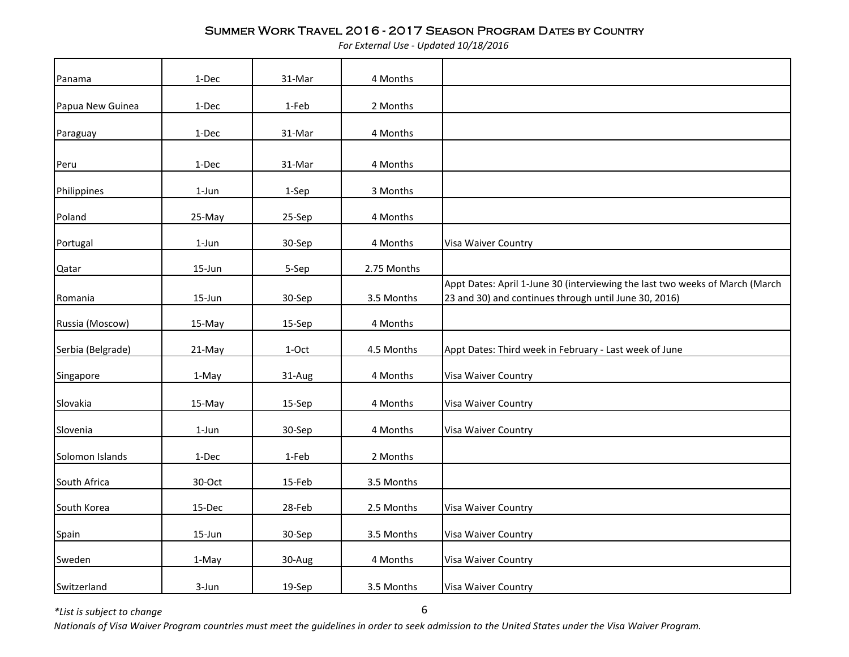*For External Use - Updated 10/18/2016*

| Panama            | 1-Dec     | 31-Mar  | 4 Months    |                                                                                                                                       |
|-------------------|-----------|---------|-------------|---------------------------------------------------------------------------------------------------------------------------------------|
| Papua New Guinea  | 1-Dec     | 1-Feb   | 2 Months    |                                                                                                                                       |
| Paraguay          | 1-Dec     | 31-Mar  | 4 Months    |                                                                                                                                       |
| Peru              | 1-Dec     | 31-Mar  | 4 Months    |                                                                                                                                       |
| Philippines       | $1$ -Jun  | 1-Sep   | 3 Months    |                                                                                                                                       |
| Poland            | 25-May    | 25-Sep  | 4 Months    |                                                                                                                                       |
| Portugal          | $1$ -Jun  | 30-Sep  | 4 Months    | Visa Waiver Country                                                                                                                   |
| Qatar             | $15$ -Jun | 5-Sep   | 2.75 Months |                                                                                                                                       |
| Romania           | 15-Jun    | 30-Sep  | 3.5 Months  | Appt Dates: April 1-June 30 (interviewing the last two weeks of March (March<br>23 and 30) and continues through until June 30, 2016) |
| Russia (Moscow)   | 15-May    | 15-Sep  | 4 Months    |                                                                                                                                       |
| Serbia (Belgrade) | 21-May    | $1-Oct$ | 4.5 Months  | Appt Dates: Third week in February - Last week of June                                                                                |
| Singapore         | 1-May     | 31-Aug  | 4 Months    | Visa Waiver Country                                                                                                                   |
| Slovakia          | 15-May    | 15-Sep  | 4 Months    | Visa Waiver Country                                                                                                                   |
| Slovenia          | 1-Jun     | 30-Sep  | 4 Months    | Visa Waiver Country                                                                                                                   |
| Solomon Islands   | 1-Dec     | 1-Feb   | 2 Months    |                                                                                                                                       |
| South Africa      | 30-Oct    | 15-Feb  | 3.5 Months  |                                                                                                                                       |
| South Korea       | 15-Dec    | 28-Feb  | 2.5 Months  | Visa Waiver Country                                                                                                                   |
| Spain             | 15-Jun    | 30-Sep  | 3.5 Months  | Visa Waiver Country                                                                                                                   |
| Sweden            | 1-May     | 30-Aug  | 4 Months    | Visa Waiver Country                                                                                                                   |
| Switzerland       | 3-Jun     | 19-Sep  | 3.5 Months  | Visa Waiver Country                                                                                                                   |

*\*List is subject to change*